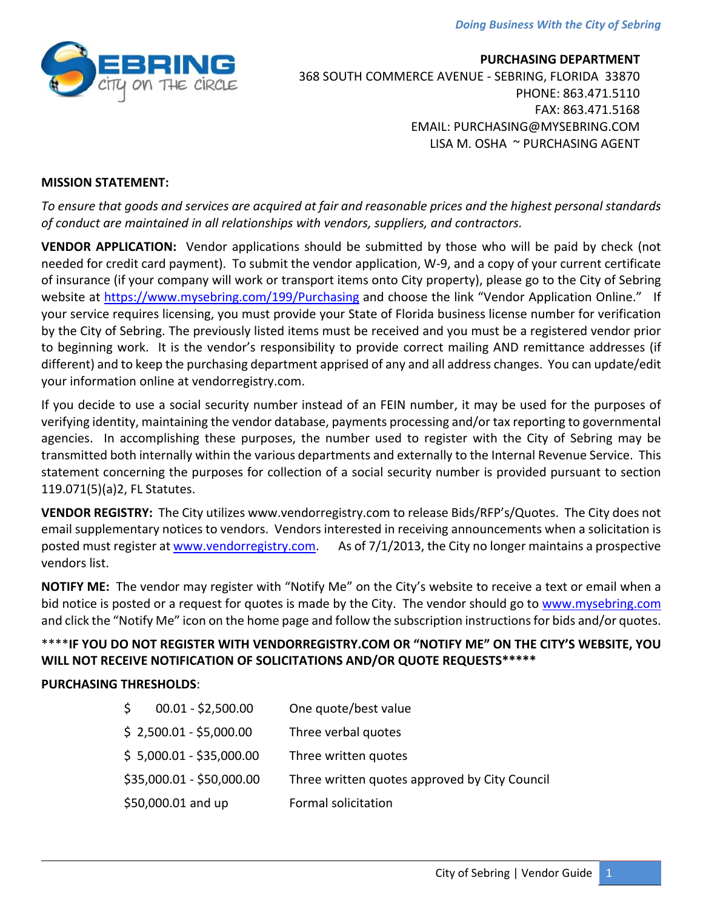*Doing Business With the City of Sebring*



**PURCHASING DEPARTMENT** 368 SOUTH COMMERCE AVENUE ‐ SEBRING, FLORIDA 33870 PHONE: 863.471.5110 FAX: 863.471.5168 EMAIL: PURCHASING@MYSEBRING.COM LISA M. OSHA ~ PURCHASING AGENT

### **MISSION STATEMENT:**

To ensure that goods and services are acquired at fair and reasonable prices and the highest personal standards *of conduct are maintained in all relationships with vendors, suppliers, and contractors.*

**VENDOR APPLICATION:** Vendor applications should be submitted by those who will be paid by check (not needed for credit card payment). To submit the vendor application, W‐9, and a copy of your current certificate of insurance (if your company will work or transport items onto City property), please go to the City of Sebring website at https://www.mysebring.com/199/Purchasing and choose the link "Vendor Application Online." If your service requires licensing, you must provide your State of Florida business license number for verification by the City of Sebring. The previously listed items must be received and you must be a registered vendor prior to beginning work. It is the vendor's responsibility to provide correct mailing AND remittance addresses (if different) and to keep the purchasing department apprised of any and all address changes. You can update/edit your information online at vendorregistry.com.

If you decide to use a social security number instead of an FEIN number, it may be used for the purposes of verifying identity, maintaining the vendor database, payments processing and/or tax reporting to governmental agencies. In accomplishing these purposes, the number used to register with the City of Sebring may be transmitted both internally within the various departments and externally to the Internal Revenue Service. This statement concerning the purposes for collection of a social security number is provided pursuant to section 119.071(5)(a)2, FL Statutes.

**VENDOR REGISTRY:** The City utilizes www.vendorregistry.com to release Bids/RFP's/Quotes. The City does not email supplementary notices to vendors. Vendors interested in receiving announcements when a solicitation is posted must register at www.vendorregistry.com. As of 7/1/2013, the City no longer maintains a prospective vendors list.

**NOTIFY ME:** The vendor may register with "Notify Me" on the City's website to receive a text or email when a bid notice is posted or a request for quotes is made by the City. The vendor should go to www.mysebring.com and click the "Notify Me" icon on the home page and follow the subscription instructions for bids and/or quotes.

# \*\*\*\***IF YOU DO NOT REGISTER WITH VENDORREGISTRY.COM OR "NOTIFY ME" ON THE CITY'S WEBSITE, YOU WILL NOT RECEIVE NOTIFICATION OF SOLICITATIONS AND/OR QUOTE REQUESTS\*\*\*\*\***

## **PURCHASING THRESHOLDS**:

| $00.01 - $2,500.00$<br>S  | One quote/best value                          |
|---------------------------|-----------------------------------------------|
| $$2,500.01 - $5,000.00$   | Three verbal quotes                           |
| $$ 5,000.01 - $35,000.00$ | Three written quotes                          |
| \$35,000.01 - \$50,000.00 | Three written quotes approved by City Council |
| \$50,000.01 and up        | Formal solicitation                           |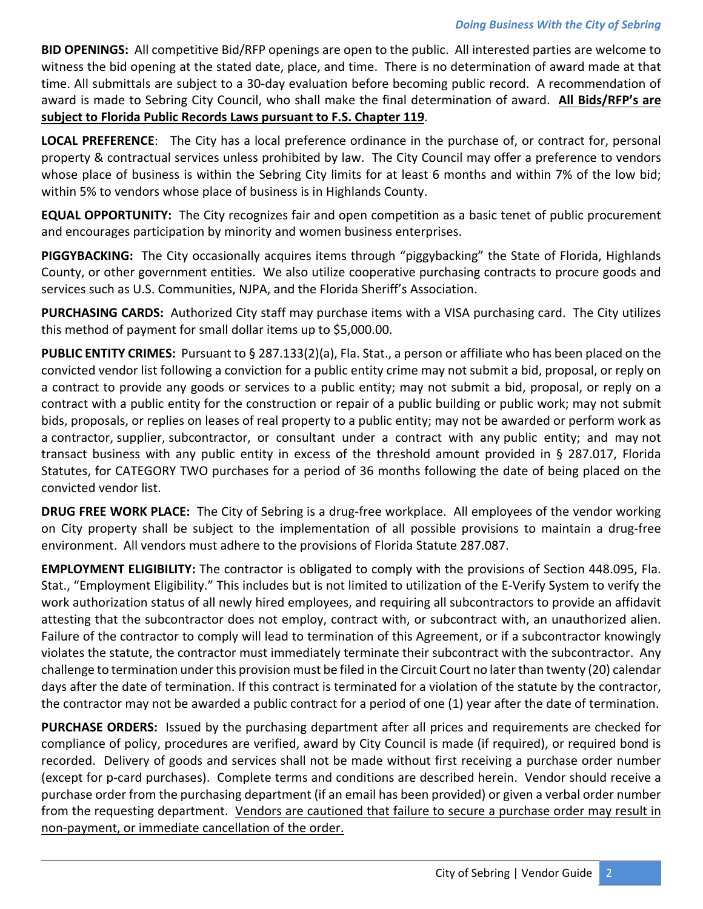**BID OPENINGS:** All competitive Bid/RFP openings are open to the public. All interested parties are welcome to witness the bid opening at the stated date, place, and time. There is no determination of award made at that time. All submittals are subject to a 30‐day evaluation before becoming public record. A recommendation of award is made to Sebring City Council, who shall make the final determination of award. **All Bids/RFP's are subject to Florida Public Records Laws pursuant to F.S. Chapter 119**.

**LOCAL PREFERENCE**: The City has a local preference ordinance in the purchase of, or contract for, personal property & contractual services unless prohibited by law. The City Council may offer a preference to vendors whose place of business is within the Sebring City limits for at least 6 months and within 7% of the low bid; within 5% to vendors whose place of business is in Highlands County.

**EQUAL OPPORTUNITY:** The City recognizes fair and open competition as a basic tenet of public procurement and encourages participation by minority and women business enterprises.

**PIGGYBACKING:** The City occasionally acquires items through "piggybacking" the State of Florida, Highlands County, or other government entities. We also utilize cooperative purchasing contracts to procure goods and services such as U.S. Communities, NJPA, and the Florida Sheriff's Association.

**PURCHASING CARDS:** Authorized City staff may purchase items with a VISA purchasing card. The City utilizes this method of payment for small dollar items up to \$5,000.00.

**PUBLIC ENTITY CRIMES:** Pursuant to § 287.133(2)(a), Fla. Stat., a person or affiliate who has been placed on the convicted vendor list following a conviction for a public entity crime may not submit a bid, proposal, or reply on a contract to provide any goods or services to a public entity; may not submit a bid, proposal, or reply on a contract with a public entity for the construction or repair of a public building or public work; may not submit bids, proposals, or replies on leases of real property to a public entity; may not be awarded or perform work as a contractor, supplier, subcontractor, or consultant under a contract with any public entity; and may not transact business with any public entity in excess of the threshold amount provided in § 287.017, Florida Statutes, for CATEGORY TWO purchases for a period of 36 months following the date of being placed on the convicted vendor list.

**DRUG FREE WORK PLACE:** The City of Sebring is a drug‐free workplace. All employees of the vendor working on City property shall be subject to the implementation of all possible provisions to maintain a drug‐free environment. All vendors must adhere to the provisions of Florida Statute 287.087.

**EMPLOYMENT ELIGIBILITY:** The contractor is obligated to comply with the provisions of Section 448.095, Fla. Stat., "Employment Eligibility." This includes but is not limited to utilization of the E‐Verify System to verify the work authorization status of all newly hired employees, and requiring all subcontractors to provide an affidavit attesting that the subcontractor does not employ, contract with, or subcontract with, an unauthorized alien. Failure of the contractor to comply will lead to termination of this Agreement, or if a subcontractor knowingly violates the statute, the contractor must immediately terminate their subcontract with the subcontractor. Any challenge to termination under this provision must be filed in the Circuit Court no later than twenty (20) calendar days after the date of termination. If this contract is terminated for a violation of the statute by the contractor, the contractor may not be awarded a public contract for a period of one (1) year after the date of termination.

**PURCHASE ORDERS:** Issued by the purchasing department after all prices and requirements are checked for compliance of policy, procedures are verified, award by City Council is made (if required), or required bond is recorded. Delivery of goods and services shall not be made without first receiving a purchase order number (except for p‐card purchases). Complete terms and conditions are described herein. Vendor should receive a purchase order from the purchasing department (if an email has been provided) or given a verbal order number from the requesting department. Vendors are cautioned that failure to secure a purchase order may result in non‐payment, or immediate cancellation of the order.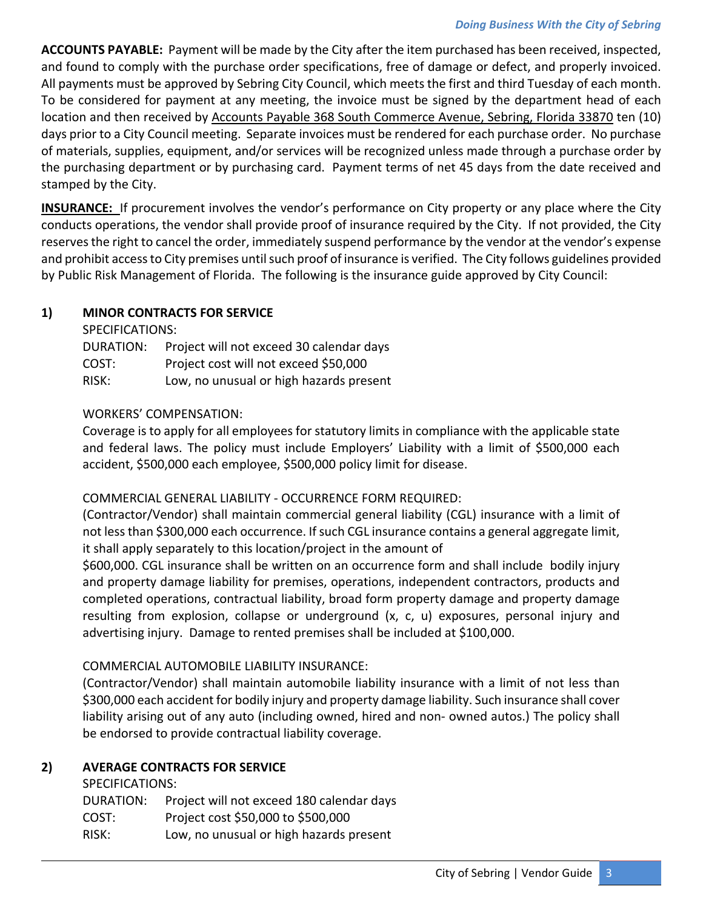**ACCOUNTS PAYABLE:** Payment will be made by the City after the item purchased has been received, inspected, and found to comply with the purchase order specifications, free of damage or defect, and properly invoiced. All payments must be approved by Sebring City Council, which meets the first and third Tuesday of each month. To be considered for payment at any meeting, the invoice must be signed by the department head of each location and then received by Accounts Payable 368 South Commerce Avenue, Sebring, Florida 33870 ten (10) days prior to a City Council meeting. Separate invoices must be rendered for each purchase order. No purchase of materials, supplies, equipment, and/or services will be recognized unless made through a purchase order by the purchasing department or by purchasing card. Payment terms of net 45 days from the date received and stamped by the City.

**INSURANCE:** If procurement involves the vendor's performance on City property or any place where the City conducts operations, the vendor shall provide proof of insurance required by the City. If not provided, the City reserves the right to cancel the order, immediately suspend performance by the vendor at the vendor's expense and prohibit access to City premises until such proof of insurance is verified. The City follows guidelines provided by Public Risk Management of Florida. The following is the insurance guide approved by City Council:

## **1) MINOR CONTRACTS FOR SERVICE**

SPECIFICATIONS:

| <b>DURATION:</b> | Project will not exceed 30 calendar days |
|------------------|------------------------------------------|
| COST:            | Project cost will not exceed \$50,000    |
| RISK:            | Low, no unusual or high hazards present  |

### WORKERS' COMPENSATION:

Coverage is to apply for all employees for statutory limits in compliance with the applicable state and federal laws. The policy must include Employers' Liability with a limit of \$500,000 each accident, \$500,000 each employee, \$500,000 policy limit for disease.

### COMMERCIAL GENERAL LIABILITY ‐ OCCURRENCE FORM REQUIRED:

(Contractor/Vendor) shall maintain commercial general liability (CGL) insurance with a limit of not less than \$300,000 each occurrence. If such CGL insurance contains a general aggregate limit, it shall apply separately to this location/project in the amount of

\$600,000. CGL insurance shall be written on an occurrence form and shall include bodily injury and property damage liability for premises, operations, independent contractors, products and completed operations, contractual liability, broad form property damage and property damage resulting from explosion, collapse or underground (x, c, u) exposures, personal injury and advertising injury. Damage to rented premises shall be included at \$100,000.

### COMMERCIAL AUTOMOBILE LIABILITY INSURANCE:

(Contractor/Vendor) shall maintain automobile liability insurance with a limit of not less than \$300,000 each accident for bodily injury and property damage liability. Such insurance shall cover liability arising out of any auto (including owned, hired and non‐ owned autos.) The policy shall be endorsed to provide contractual liability coverage.

## **2) AVERAGE CONTRACTS FOR SERVICE**

SPECIFICATIONS:

DURATION: Project will not exceed 180 calendar days

- COST: Project cost \$50,000 to \$500,000
- RISK: Low, no unusual or high hazards present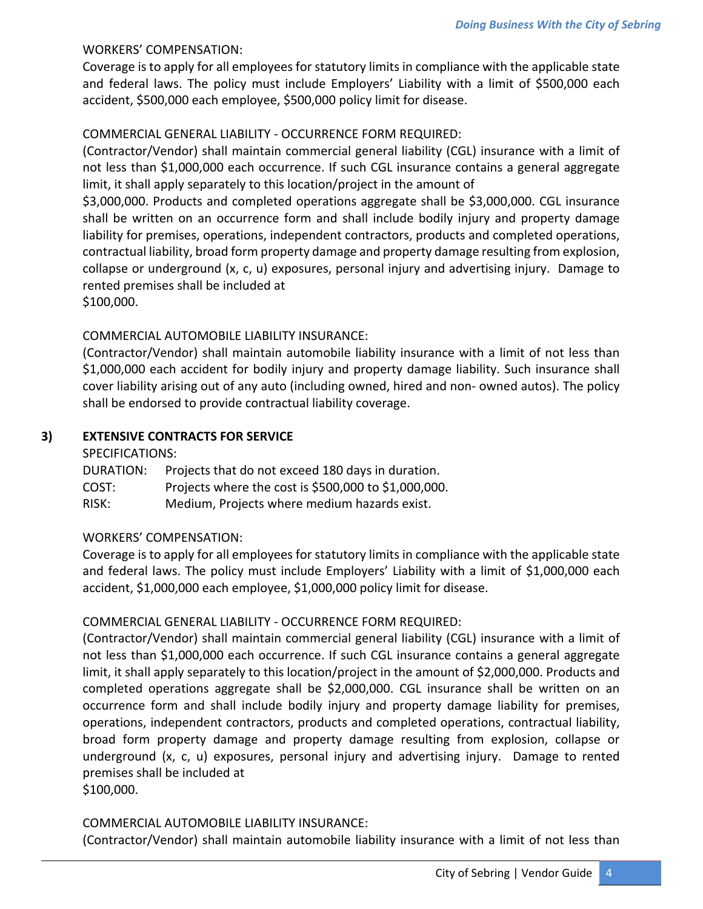## WORKERS' COMPENSATION:

Coverage is to apply for all employees for statutory limits in compliance with the applicable state and federal laws. The policy must include Employers' Liability with a limit of \$500,000 each accident, \$500,000 each employee, \$500,000 policy limit for disease.

## COMMERCIAL GENERAL LIABILITY ‐ OCCURRENCE FORM REQUIRED:

(Contractor/Vendor) shall maintain commercial general liability (CGL) insurance with a limit of not less than \$1,000,000 each occurrence. If such CGL insurance contains a general aggregate limit, it shall apply separately to this location/project in the amount of

\$3,000,000. Products and completed operations aggregate shall be \$3,000,000. CGL insurance shall be written on an occurrence form and shall include bodily injury and property damage liability for premises, operations, independent contractors, products and completed operations, contractual liability, broad form property damage and property damage resulting from explosion, collapse or underground (x, c, u) exposures, personal injury and advertising injury. Damage to rented premises shall be included at

\$100,000.

### COMMERCIAL AUTOMOBILE LIABILITY INSURANCE:

(Contractor/Vendor) shall maintain automobile liability insurance with a limit of not less than \$1,000,000 each accident for bodily injury and property damage liability. Such insurance shall cover liability arising out of any auto (including owned, hired and non‐ owned autos). The policy shall be endorsed to provide contractual liability coverage.

### **3) EXTENSIVE CONTRACTS FOR SERVICE**

#### SPECIFICATIONS:

| DURATION: | Projects that do not exceed 180 days in duration.    |
|-----------|------------------------------------------------------|
| COST:     | Projects where the cost is \$500,000 to \$1,000,000. |
| RISK:     | Medium, Projects where medium hazards exist.         |

### WORKERS' COMPENSATION:

Coverage is to apply for all employees for statutory limits in compliance with the applicable state and federal laws. The policy must include Employers' Liability with a limit of \$1,000,000 each accident, \$1,000,000 each employee, \$1,000,000 policy limit for disease.

### COMMERCIAL GENERAL LIABILITY ‐ OCCURRENCE FORM REQUIRED:

(Contractor/Vendor) shall maintain commercial general liability (CGL) insurance with a limit of not less than \$1,000,000 each occurrence. If such CGL insurance contains a general aggregate limit, it shall apply separately to this location/project in the amount of \$2,000,000. Products and completed operations aggregate shall be \$2,000,000. CGL insurance shall be written on an occurrence form and shall include bodily injury and property damage liability for premises, operations, independent contractors, products and completed operations, contractual liability, broad form property damage and property damage resulting from explosion, collapse or underground (x, c, u) exposures, personal injury and advertising injury. Damage to rented premises shall be included at \$100,000.

COMMERCIAL AUTOMOBILE LIABILITY INSURANCE:

(Contractor/Vendor) shall maintain automobile liability insurance with a limit of not less than